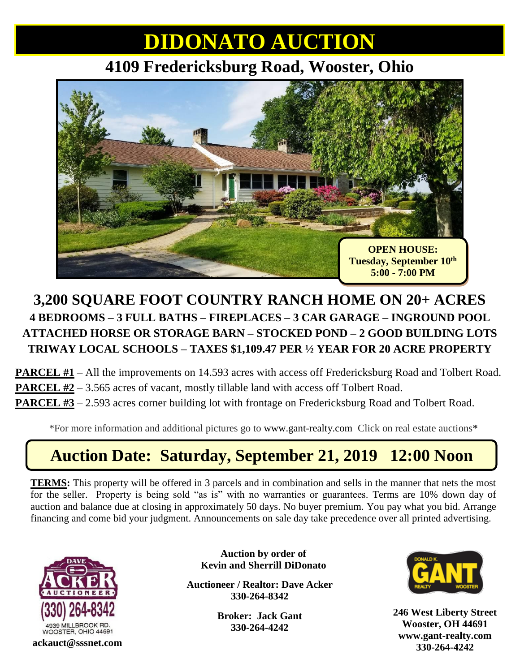## **DIDONATO AUCTION**

### **4109 Fredericksburg Road, Wooster, Ohio**



### **3,200 SQUARE FOOT COUNTRY RANCH HOME ON 20+ ACRES 4 BEDROOMS – 3 FULL BATHS – FIREPLACES – 3 CAR GARAGE – INGROUND POOL ATTACHED HORSE OR STORAGE BARN – STOCKED POND – 2 GOOD BUILDING LOTS TRIWAY LOCAL SCHOOLS – TAXES \$1,109.47 PER ½ YEAR FOR 20 ACRE PROPERTY**

**PARCEL #1** – All the improvements on 14.593 acres with access off Fredericksburg Road and Tolbert Road. **PARCEL #2** – 3.565 acres of vacant, mostly tillable land with access off Tolbert Road. **PARCEL #3** – 2.593 acres corner building lot with frontage on Fredericksburg Road and Tolbert Road.

\*For more information and additional pictures go to [www.gant-realty.com](http://www.gant-realty.com/) Click on real estate auctions**\***

## **Auction Date: Saturday, September 21, 2019 12:00 Noon**

**TERMS:** This property will be offered in 3 parcels and in combination and sells in the manner that nets the most for the seller. Property is being sold "as is" with no warranties or guarantees. Terms are 10% down day of auction and balance due at closing in approximately 50 days. No buyer premium. You pay what you bid. Arrange financing and come bid your judgment. Announcements on sale day take precedence over all printed advertising.

**Auction by order of**



**Kevin and Sherrill DiDonato**

**Auctioneer / Realtor: Dave Acker 330-264-8342**

> **Broker: Jack Gant 330-264-4242**



**246 West Liberty Street Wooster, OH 44691 [www.gant-realty.com](http://www.gant-realty.com/) 330-264-4242 ackauct@sssnet.com**